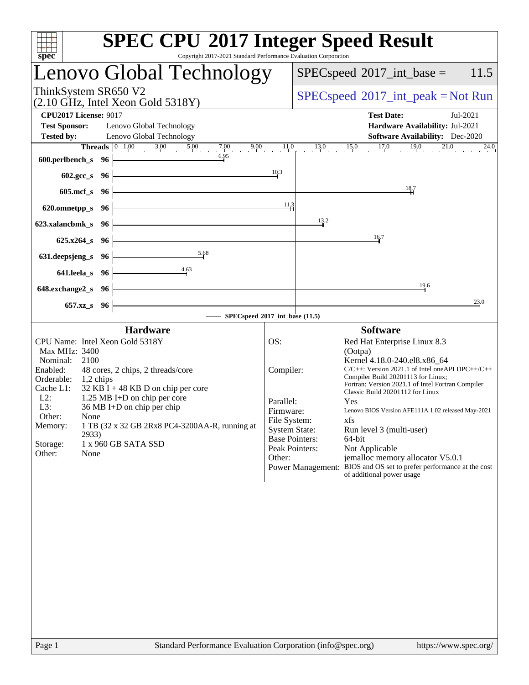| spec <sup>®</sup>                                                                                                                                                                                                                                                                                                                                                                                                                   | <b>SPEC CPU®2017 Integer Speed Result</b><br>Copyright 2017-2021 Standard Performance Evaluation Corporation                                                                                                                                                                                                                                                                                                                                                                                                                                                                                                                                                                 |
|-------------------------------------------------------------------------------------------------------------------------------------------------------------------------------------------------------------------------------------------------------------------------------------------------------------------------------------------------------------------------------------------------------------------------------------|------------------------------------------------------------------------------------------------------------------------------------------------------------------------------------------------------------------------------------------------------------------------------------------------------------------------------------------------------------------------------------------------------------------------------------------------------------------------------------------------------------------------------------------------------------------------------------------------------------------------------------------------------------------------------|
| Lenovo Global Technology                                                                                                                                                                                                                                                                                                                                                                                                            | $SPEC speed^{\circ}2017\_int\_base =$<br>11.5                                                                                                                                                                                                                                                                                                                                                                                                                                                                                                                                                                                                                                |
| ThinkSystem SR650 V2<br>$(2.10 \text{ GHz}, \text{Intel Xeon Gold } 5318 \text{Y})$                                                                                                                                                                                                                                                                                                                                                 | $SPEC speed^{\circ}2017\_int\_peak = Not Run$                                                                                                                                                                                                                                                                                                                                                                                                                                                                                                                                                                                                                                |
| <b>CPU2017 License: 9017</b><br><b>Test Sponsor:</b><br>Lenovo Global Technology<br><b>Tested by:</b><br>Lenovo Global Technology                                                                                                                                                                                                                                                                                                   | <b>Test Date:</b><br>Jul-2021<br>Hardware Availability: Jul-2021<br>Software Availability: Dec-2020                                                                                                                                                                                                                                                                                                                                                                                                                                                                                                                                                                          |
| <b>Threads</b> $\begin{bmatrix} 0 & 1.00 \\ 1 & 0 & 3.00 \\ 0 & 0 & 1.00 \\ 0 & 0 & 0 & 7.00 \\ 0 & 0 & 0 & 1.0 \\ 0 & 0 & 0 & 0 \end{bmatrix}$<br>6.95<br>600.perlbench_s 96                                                                                                                                                                                                                                                       | $13.0$ $15.0$ $17.0$ $19.0$<br>21.0<br>24.0<br>10.3                                                                                                                                                                                                                                                                                                                                                                                                                                                                                                                                                                                                                          |
| $602.\text{gcc}\,s$ 96<br>$605$ .mcf_s<br>- 96                                                                                                                                                                                                                                                                                                                                                                                      | $\frac{18.7}{4}$                                                                                                                                                                                                                                                                                                                                                                                                                                                                                                                                                                                                                                                             |
| 620.omnetpp_s<br>- 96                                                                                                                                                                                                                                                                                                                                                                                                               | 11.3                                                                                                                                                                                                                                                                                                                                                                                                                                                                                                                                                                                                                                                                         |
| 623.xalancbmk_s 96                                                                                                                                                                                                                                                                                                                                                                                                                  | 13.2                                                                                                                                                                                                                                                                                                                                                                                                                                                                                                                                                                                                                                                                         |
| $625.x264_s$<br>- 96<br>5.68                                                                                                                                                                                                                                                                                                                                                                                                        | 16.7                                                                                                                                                                                                                                                                                                                                                                                                                                                                                                                                                                                                                                                                         |
| 631.deepsjeng_s<br>96<br>4.63<br>641.leela_s<br>96                                                                                                                                                                                                                                                                                                                                                                                  |                                                                                                                                                                                                                                                                                                                                                                                                                                                                                                                                                                                                                                                                              |
| 648.exchange2_s<br>- 96                                                                                                                                                                                                                                                                                                                                                                                                             | 19.6                                                                                                                                                                                                                                                                                                                                                                                                                                                                                                                                                                                                                                                                         |
| 657.xz_s 96                                                                                                                                                                                                                                                                                                                                                                                                                         | 23.0                                                                                                                                                                                                                                                                                                                                                                                                                                                                                                                                                                                                                                                                         |
| <b>Hardware</b>                                                                                                                                                                                                                                                                                                                                                                                                                     | SPECspeed®2017_int_base (11.5)<br><b>Software</b>                                                                                                                                                                                                                                                                                                                                                                                                                                                                                                                                                                                                                            |
| CPU Name: Intel Xeon Gold 5318Y<br>Max MHz: 3400<br>Nominal:<br>2100<br>Enabled:<br>48 cores, 2 chips, 2 threads/core<br>Orderable:<br>$1,2$ chips<br>Cache L1:<br>$32$ KB I + 48 KB D on chip per core<br>$L2$ :<br>1.25 MB I+D on chip per core<br>36 MB I+D on chip per chip<br>L3:<br>Other:<br>None<br>1 TB (32 x 32 GB 2Rx8 PC4-3200AA-R, running at<br>Memory:<br>2933)<br>1 x 960 GB SATA SSD<br>Storage:<br>Other:<br>None | OS:<br>Red Hat Enterprise Linux 8.3<br>(Ootpa)<br>Kernel 4.18.0-240.el8.x86_64<br>$C/C++$ : Version 2021.1 of Intel one API DPC++/C++<br>Compiler:<br>Compiler Build 20201113 for Linux;<br>Fortran: Version 2021.1 of Intel Fortran Compiler<br>Classic Build 20201112 for Linux<br>Parallel:<br>Yes<br>Lenovo BIOS Version AFE111A 1.02 released May-2021<br>Firmware:<br>xfs<br>File System:<br><b>System State:</b><br>Run level 3 (multi-user)<br><b>Base Pointers:</b><br>64-bit<br>Peak Pointers:<br>Not Applicable<br>jemalloc memory allocator V5.0.1<br>Other:<br>Power Management: BIOS and OS set to prefer performance at the cost<br>of additional power usage |
|                                                                                                                                                                                                                                                                                                                                                                                                                                     |                                                                                                                                                                                                                                                                                                                                                                                                                                                                                                                                                                                                                                                                              |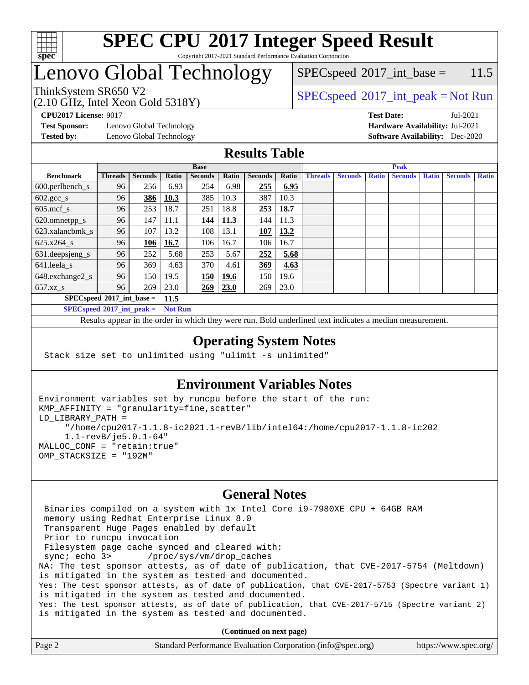

#### **[SPEC CPU](http://www.spec.org/auto/cpu2017/Docs/result-fields.html#SPECCPU2017IntegerSpeedResult)[2017 Integer Speed Result](http://www.spec.org/auto/cpu2017/Docs/result-fields.html#SPECCPU2017IntegerSpeedResult)** Copyright 2017-2021 Standard Performance Evaluation Corporation

## Lenovo Global Technology

ThinkSystem SR650 V2  $SPECspeed^{\circ}2017\_int\_peak = Not Run$  $SPECspeed^{\circ}2017\_int\_peak = Not Run$ 

 $SPEC speed^{\circ}2017\_int\_base = 11.5$ 

(2.10 GHz, Intel Xeon Gold 5318Y)

**[Test Sponsor:](http://www.spec.org/auto/cpu2017/Docs/result-fields.html#TestSponsor)** Lenovo Global Technology **[Hardware Availability:](http://www.spec.org/auto/cpu2017/Docs/result-fields.html#HardwareAvailability)** Jul-2021 **[Tested by:](http://www.spec.org/auto/cpu2017/Docs/result-fields.html#Testedby)** Lenovo Global Technology **[Software Availability:](http://www.spec.org/auto/cpu2017/Docs/result-fields.html#SoftwareAvailability)** Dec-2020

**[CPU2017 License:](http://www.spec.org/auto/cpu2017/Docs/result-fields.html#CPU2017License)** 9017 **[Test Date:](http://www.spec.org/auto/cpu2017/Docs/result-fields.html#TestDate)** Jul-2021

### **[Results Table](http://www.spec.org/auto/cpu2017/Docs/result-fields.html#ResultsTable)**

|                                            | <b>Base</b>    |                |       |                |       | <b>Peak</b>    |       |                |                |              |                |              |                |              |
|--------------------------------------------|----------------|----------------|-------|----------------|-------|----------------|-------|----------------|----------------|--------------|----------------|--------------|----------------|--------------|
| <b>Benchmark</b>                           | <b>Threads</b> | <b>Seconds</b> | Ratio | <b>Seconds</b> | Ratio | <b>Seconds</b> | Ratio | <b>Threads</b> | <b>Seconds</b> | <b>Ratio</b> | <b>Seconds</b> | <b>Ratio</b> | <b>Seconds</b> | <b>Ratio</b> |
| $600.$ perlbench_s                         | 96             | 256            | 6.93  | 254            | 6.98  | 255            | 6.95  |                |                |              |                |              |                |              |
| $602.\text{gcc}\_\text{s}$                 | 96             | 386            | 10.3  | 385            | 10.3  | 387            | 10.3  |                |                |              |                |              |                |              |
| $605$ .mcf s                               | 96             | 253            | 18.7  | 251            | 18.8  | 253            | 18.7  |                |                |              |                |              |                |              |
| 620.omnetpp_s                              | 96             | 147            | 11.1  | 144            | 11.3  | 144            | 11.3  |                |                |              |                |              |                |              |
| 623.xalancbmk s                            | 96             | 107            | 13.2  | 108            | 13.1  | 107            | 13.2  |                |                |              |                |              |                |              |
| 625.x264 s                                 | 96             | 106            | 16.7  | 106            | 16.7  | 106            | 16.7  |                |                |              |                |              |                |              |
| 631.deepsjeng_s                            | 96             | 252            | 5.68  | 253            | 5.67  | 252            | 5.68  |                |                |              |                |              |                |              |
| 641.leela s                                | 96             | 369            | 4.63  | 370            | 4.61  | 369            | 4.63  |                |                |              |                |              |                |              |
| 648.exchange2_s                            | 96             | 150            | 19.5  | 150            | 19.6  | 150            | 19.6  |                |                |              |                |              |                |              |
| $657.xz$ <sub>S</sub>                      | 96             | 269            | 23.0  | 269            | 23.0  | 269            | 23.0  |                |                |              |                |              |                |              |
| $SPECspeed^{\circ}2017$ int base =<br>11.5 |                |                |       |                |       |                |       |                |                |              |                |              |                |              |

**[SPECspeed](http://www.spec.org/auto/cpu2017/Docs/result-fields.html#SPECspeed2017intpeak)[2017\\_int\\_peak =](http://www.spec.org/auto/cpu2017/Docs/result-fields.html#SPECspeed2017intpeak) Not Run**

Results appear in the [order in which they were run.](http://www.spec.org/auto/cpu2017/Docs/result-fields.html#RunOrder) Bold underlined text [indicates a median measurement.](http://www.spec.org/auto/cpu2017/Docs/result-fields.html#Median)

### **[Operating System Notes](http://www.spec.org/auto/cpu2017/Docs/result-fields.html#OperatingSystemNotes)**

Stack size set to unlimited using "ulimit -s unlimited"

### **[Environment Variables Notes](http://www.spec.org/auto/cpu2017/Docs/result-fields.html#EnvironmentVariablesNotes)**

```
Environment variables set by runcpu before the start of the run:
KMP_AFFINITY = "granularity=fine,scatter"
LD_LIBRARY_PATH =
      "/home/cpu2017-1.1.8-ic2021.1-revB/lib/intel64:/home/cpu2017-1.1.8-ic202
      1.1-revB/je5.0.1-64"
MALLOC_CONF = "retain:true"
OMP_STACKSIZE = "192M"
```
#### **[General Notes](http://www.spec.org/auto/cpu2017/Docs/result-fields.html#GeneralNotes)**

 Binaries compiled on a system with 1x Intel Core i9-7980XE CPU + 64GB RAM memory using Redhat Enterprise Linux 8.0 Transparent Huge Pages enabled by default Prior to runcpu invocation Filesystem page cache synced and cleared with: sync; echo 3> /proc/sys/vm/drop\_caches NA: The test sponsor attests, as of date of publication, that CVE-2017-5754 (Meltdown) is mitigated in the system as tested and documented. Yes: The test sponsor attests, as of date of publication, that CVE-2017-5753 (Spectre variant 1) is mitigated in the system as tested and documented. Yes: The test sponsor attests, as of date of publication, that CVE-2017-5715 (Spectre variant 2) is mitigated in the system as tested and documented.

**(Continued on next page)**

| Page 2 | Standard Performance Evaluation Corporation (info@spec.org) | https://www.spec.org/ |
|--------|-------------------------------------------------------------|-----------------------|
|        |                                                             |                       |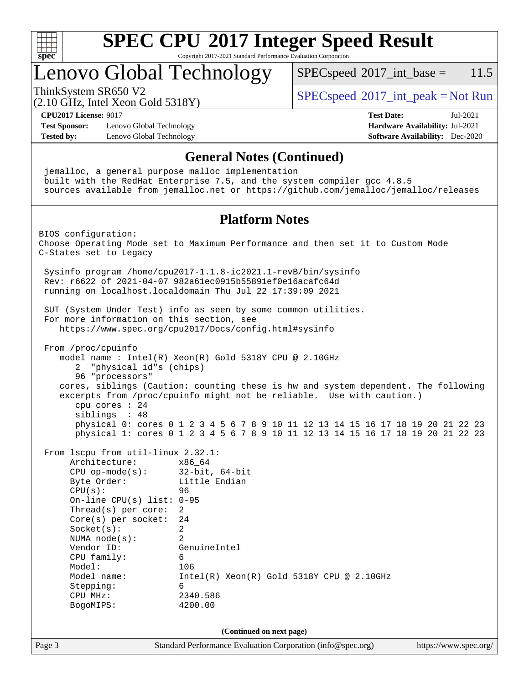

Copyright 2017-2021 Standard Performance Evaluation Corporation

### Lenovo Global Technology

 $SPECspeed^{\circ}2017\_int\_base = 11.5$  $SPECspeed^{\circ}2017\_int\_base = 11.5$ 

(2.10 GHz, Intel Xeon Gold 5318Y)

ThinkSystem SR650 V2  $SPEC speed^{\circ}2017\_int\_peak = Not Run$ 

**[CPU2017 License:](http://www.spec.org/auto/cpu2017/Docs/result-fields.html#CPU2017License)** 9017 **[Test Date:](http://www.spec.org/auto/cpu2017/Docs/result-fields.html#TestDate)** Jul-2021

**[Test Sponsor:](http://www.spec.org/auto/cpu2017/Docs/result-fields.html#TestSponsor)** Lenovo Global Technology **[Hardware Availability:](http://www.spec.org/auto/cpu2017/Docs/result-fields.html#HardwareAvailability)** Jul-2021 **[Tested by:](http://www.spec.org/auto/cpu2017/Docs/result-fields.html#Testedby)** Lenovo Global Technology **[Software Availability:](http://www.spec.org/auto/cpu2017/Docs/result-fields.html#SoftwareAvailability)** Dec-2020

#### **[General Notes \(Continued\)](http://www.spec.org/auto/cpu2017/Docs/result-fields.html#GeneralNotes)**

Page 3 Standard Performance Evaluation Corporation [\(info@spec.org\)](mailto:info@spec.org) <https://www.spec.org/> jemalloc, a general purpose malloc implementation built with the RedHat Enterprise 7.5, and the system compiler gcc 4.8.5 sources available from jemalloc.net or <https://github.com/jemalloc/jemalloc/releases> **[Platform Notes](http://www.spec.org/auto/cpu2017/Docs/result-fields.html#PlatformNotes)** BIOS configuration: Choose Operating Mode set to Maximum Performance and then set it to Custom Mode C-States set to Legacy Sysinfo program /home/cpu2017-1.1.8-ic2021.1-revB/bin/sysinfo Rev: r6622 of 2021-04-07 982a61ec0915b55891ef0e16acafc64d running on localhost.localdomain Thu Jul 22 17:39:09 2021 SUT (System Under Test) info as seen by some common utilities. For more information on this section, see <https://www.spec.org/cpu2017/Docs/config.html#sysinfo> From /proc/cpuinfo model name : Intel(R) Xeon(R) Gold 5318Y CPU @ 2.10GHz 2 "physical id"s (chips) 96 "processors" cores, siblings (Caution: counting these is hw and system dependent. The following excerpts from /proc/cpuinfo might not be reliable. Use with caution.) cpu cores : 24 siblings : 48 physical 0: cores 0 1 2 3 4 5 6 7 8 9 10 11 12 13 14 15 16 17 18 19 20 21 22 23 physical 1: cores 0 1 2 3 4 5 6 7 8 9 10 11 12 13 14 15 16 17 18 19 20 21 22 23 From lscpu from util-linux 2.32.1: Architecture: x86\_64 CPU op-mode(s): 32-bit, 64-bit Byte Order: Little Endian CPU(s): 96 On-line CPU(s) list: 0-95 Thread(s) per core: 2 Core(s) per socket: 24 Socket(s): 2 NUMA node(s): 2 Vendor ID: GenuineIntel CPU family: 6 Model: 106 Model name: Intel(R) Xeon(R) Gold 5318Y CPU @ 2.10GHz Stepping: 6 CPU MHz: 2340.586 BogoMIPS: 4200.00 **(Continued on next page)**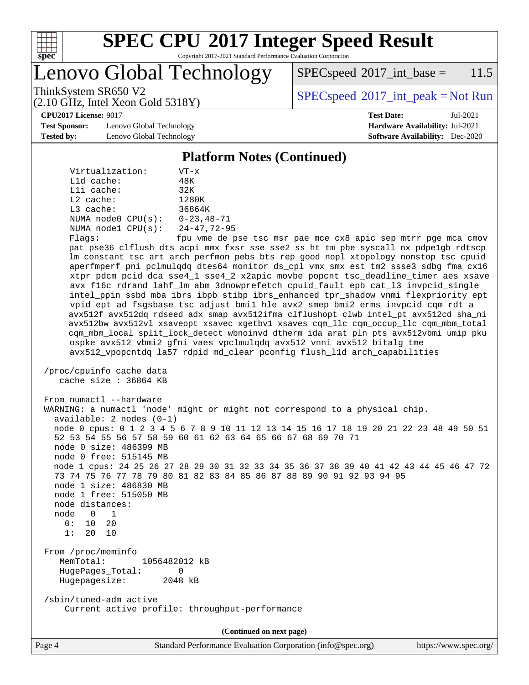

Copyright 2017-2021 Standard Performance Evaluation Corporation

Lenovo Global Technology

 $SPEC speed^{\circ}2017\_int\_base = 11.5$ 

(2.10 GHz, Intel Xeon Gold 5318Y)

ThinkSystem SR650 V2  $SPECspeed^{\circ}2017\_int\_peak = Not Run$  $SPECspeed^{\circ}2017\_int\_peak = Not Run$ 

**[CPU2017 License:](http://www.spec.org/auto/cpu2017/Docs/result-fields.html#CPU2017License)** 9017 **[Test Date:](http://www.spec.org/auto/cpu2017/Docs/result-fields.html#TestDate)** Jul-2021

**[Test Sponsor:](http://www.spec.org/auto/cpu2017/Docs/result-fields.html#TestSponsor)** Lenovo Global Technology **[Hardware Availability:](http://www.spec.org/auto/cpu2017/Docs/result-fields.html#HardwareAvailability)** Jul-2021 **[Tested by:](http://www.spec.org/auto/cpu2017/Docs/result-fields.html#Testedby)** Lenovo Global Technology **[Software Availability:](http://www.spec.org/auto/cpu2017/Docs/result-fields.html#SoftwareAvailability)** Dec-2020

# **[Platform Notes \(Continued\)](http://www.spec.org/auto/cpu2017/Docs/result-fields.html#PlatformNotes)**

| Virtualization:         | VT-x               |
|-------------------------|--------------------|
| $L1d$ cache:            | 48K                |
| Lli cache:              | 32K                |
| $L2$ cache:             | 1280K              |
| $L3$ cache:             | 36864K             |
| NUMA $node0$ $CPU(s)$ : | $0 - 23, 48 - 71$  |
| NUMA $node1$ $CPU(s)$ : | $24 - 47, 72 - 95$ |
| Flaqs:                  | fpu vme de p       |

se tsc msr pae mce cx8 apic sep mtrr pge mca cmov pat pse36 clflush dts acpi mmx fxsr sse sse2 ss ht tm pbe syscall nx pdpe1gb rdtscp lm constant\_tsc art arch\_perfmon pebs bts rep\_good nopl xtopology nonstop\_tsc cpuid aperfmperf pni pclmulqdq dtes64 monitor ds\_cpl vmx smx est tm2 ssse3 sdbg fma cx16 xtpr pdcm pcid dca sse4\_1 sse4\_2 x2apic movbe popcnt tsc\_deadline\_timer aes xsave avx f16c rdrand lahf\_lm abm 3dnowprefetch cpuid\_fault epb cat\_l3 invpcid\_single intel\_ppin ssbd mba ibrs ibpb stibp ibrs\_enhanced tpr\_shadow vnmi flexpriority ept vpid ept\_ad fsgsbase tsc\_adjust bmi1 hle avx2 smep bmi2 erms invpcid cqm rdt\_a avx512f avx512dq rdseed adx smap avx512ifma clflushopt clwb intel\_pt avx512cd sha\_ni avx512bw avx512vl xsaveopt xsavec xgetbv1 xsaves cqm\_llc cqm\_occup\_llc cqm\_mbm\_total cqm\_mbm\_local split\_lock\_detect wbnoinvd dtherm ida arat pln pts avx512vbmi umip pku ospke avx512\_vbmi2 gfni vaes vpclmulqdq avx512\_vnni avx512\_bitalg tme avx512\_vpopcntdq la57 rdpid md\_clear pconfig flush\_l1d arch\_capabilities

```
 /proc/cpuinfo cache data
    cache size : 36864 KB
```
From numactl --hardware WARNING: a numactl 'node' might or might not correspond to a physical chip. available: 2 nodes (0-1) node 0 cpus: 0 1 2 3 4 5 6 7 8 9 10 11 12 13 14 15 16 17 18 19 20 21 22 23 48 49 50 51 52 53 54 55 56 57 58 59 60 61 62 63 64 65 66 67 68 69 70 71 node 0 size: 486399 MB node 0 free: 515145 MB node 1 cpus: 24 25 26 27 28 29 30 31 32 33 34 35 36 37 38 39 40 41 42 43 44 45 46 47 72 73 74 75 76 77 78 79 80 81 82 83 84 85 86 87 88 89 90 91 92 93 94 95 node 1 size: 486830 MB node 1 free: 515050 MB node distances: node 0 1  $0: 10 20$  1: 20 10 From /proc/meminfo MemTotal: 1056482012 kB HugePages\_Total: 0 Hugepagesize: 2048 kB /sbin/tuned-adm active Current active profile: throughput-performance

**(Continued on next page)**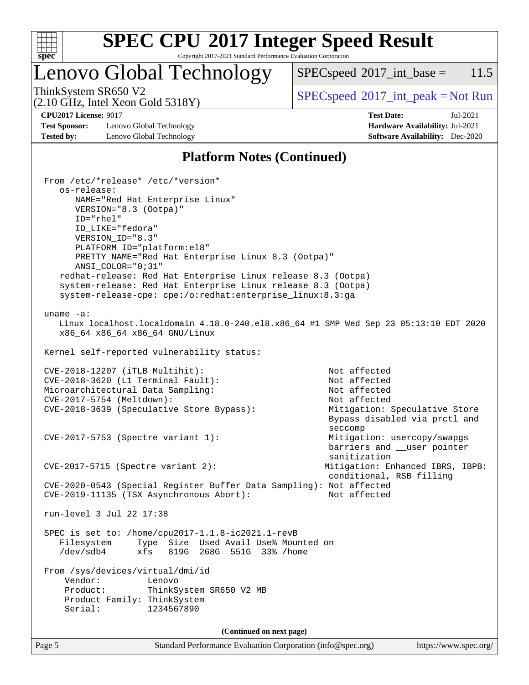

Copyright 2017-2021 Standard Performance Evaluation Corporation

### Lenovo Global Technology

 $SPECspeed^{\circ}2017\_int\_base = 11.5$  $SPECspeed^{\circ}2017\_int\_base = 11.5$ 

(2.10 GHz, Intel Xeon Gold 5318Y)

ThinkSystem SR650 V2  $SPECspeed^{\circ}2017\_int\_peak = Not Run$  $SPECspeed^{\circ}2017\_int\_peak = Not Run$ 

**[Test Sponsor:](http://www.spec.org/auto/cpu2017/Docs/result-fields.html#TestSponsor)** Lenovo Global Technology **[Hardware Availability:](http://www.spec.org/auto/cpu2017/Docs/result-fields.html#HardwareAvailability)** Jul-2021 **[Tested by:](http://www.spec.org/auto/cpu2017/Docs/result-fields.html#Testedby)** Lenovo Global Technology **[Software Availability:](http://www.spec.org/auto/cpu2017/Docs/result-fields.html#SoftwareAvailability)** Dec-2020

**[CPU2017 License:](http://www.spec.org/auto/cpu2017/Docs/result-fields.html#CPU2017License)** 9017 **[Test Date:](http://www.spec.org/auto/cpu2017/Docs/result-fields.html#TestDate)** Jul-2021

### **[Platform Notes \(Continued\)](http://www.spec.org/auto/cpu2017/Docs/result-fields.html#PlatformNotes)**

Page 5 Standard Performance Evaluation Corporation [\(info@spec.org\)](mailto:info@spec.org) <https://www.spec.org/> From /etc/\*release\* /etc/\*version\* os-release: NAME="Red Hat Enterprise Linux" VERSION="8.3 (Ootpa)" ID="rhel" ID\_LIKE="fedora" VERSION\_ID="8.3" PLATFORM\_ID="platform:el8" PRETTY\_NAME="Red Hat Enterprise Linux 8.3 (Ootpa)" ANSI\_COLOR="0;31" redhat-release: Red Hat Enterprise Linux release 8.3 (Ootpa) system-release: Red Hat Enterprise Linux release 8.3 (Ootpa) system-release-cpe: cpe:/o:redhat:enterprise\_linux:8.3:ga uname -a: Linux localhost.localdomain 4.18.0-240.el8.x86\_64 #1 SMP Wed Sep 23 05:13:10 EDT 2020 x86\_64 x86\_64 x86\_64 GNU/Linux Kernel self-reported vulnerability status: CVE-2018-12207 (iTLB Multihit): Not affected CVE-2018-3620 (L1 Terminal Fault): Not affected Microarchitectural Data Sampling: Not affected CVE-2017-5754 (Meltdown): Not affected CVE-2018-3639 (Speculative Store Bypass): Mitigation: Speculative Store Bypass disabled via prctl and seccompany and the contract of the contract of the contract of the second seconds of the contract of the contract of the contract of the contract of the contract of the contract of the contract of the contract of the contr CVE-2017-5753 (Spectre variant 1): Mitigation: usercopy/swapgs barriers and \_\_user pointer sanitization CVE-2017-5715 (Spectre variant 2): Mitigation: Enhanced IBRS, IBPB: conditional, RSB filling CVE-2020-0543 (Special Register Buffer Data Sampling): Not affected CVE-2019-11135 (TSX Asynchronous Abort): Not affected run-level 3 Jul 22 17:38 SPEC is set to: /home/cpu2017-1.1.8-ic2021.1-revB Filesystem Type Size Used Avail Use% Mounted on /dev/sdb4 xfs 819G 268G 551G 33% /home From /sys/devices/virtual/dmi/id Vendor: Lenovo Product: ThinkSystem SR650 V2 MB Product Family: ThinkSystem Serial: 1234567890 **(Continued on next page)**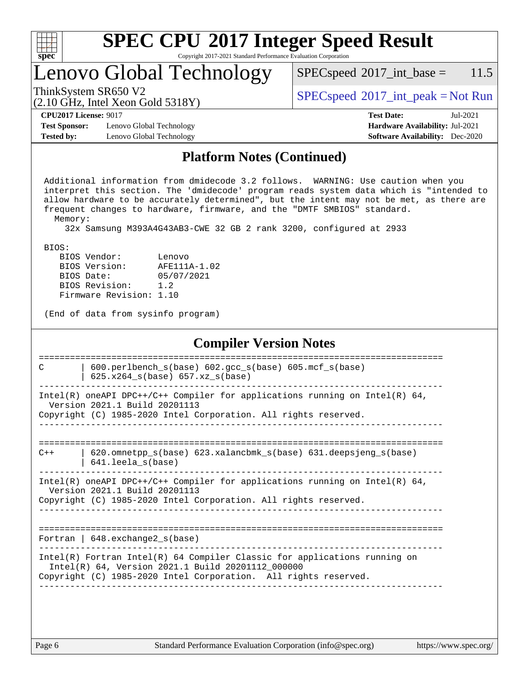| u | H | r |  |
|---|---|---|--|

Copyright 2017-2021 Standard Performance Evaluation Corporation

### Lenovo Global Technology

ThinkSystem SR650 V2<br>  $\begin{array}{c}\n\text{SPEC speed} \textdegree 2017\_int\_peak = Not Run \\
\text{SPEC speed} \textdegree 2017\_int\_peak = Not Run\n\end{array}$ 

 $SPEC speed^{\circ}2017\_int\_base = 11.5$ 

#### (2.10 GHz, Intel Xeon Gold 5318Y)

**[CPU2017 License:](http://www.spec.org/auto/cpu2017/Docs/result-fields.html#CPU2017License)** 9017 **[Test Date:](http://www.spec.org/auto/cpu2017/Docs/result-fields.html#TestDate)** Jul-2021

**[Test Sponsor:](http://www.spec.org/auto/cpu2017/Docs/result-fields.html#TestSponsor)** Lenovo Global Technology **[Hardware Availability:](http://www.spec.org/auto/cpu2017/Docs/result-fields.html#HardwareAvailability)** Jul-2021 **[Tested by:](http://www.spec.org/auto/cpu2017/Docs/result-fields.html#Testedby)** Lenovo Global Technology **[Software Availability:](http://www.spec.org/auto/cpu2017/Docs/result-fields.html#SoftwareAvailability)** Dec-2020

**[Platform Notes \(Continued\)](http://www.spec.org/auto/cpu2017/Docs/result-fields.html#PlatformNotes)**

 Additional information from dmidecode 3.2 follows. WARNING: Use caution when you interpret this section. The 'dmidecode' program reads system data which is "intended to allow hardware to be accurately determined", but the intent may not be met, as there are frequent changes to hardware, firmware, and the "DMTF SMBIOS" standard. Memory:

32x Samsung M393A4G43AB3-CWE 32 GB 2 rank 3200, configured at 2933

BIOS:

| BIOS Vendor:            | Lenovo       |
|-------------------------|--------------|
| BIOS Version:           | AFE111A-1.02 |
| BIOS Date:              | 05/07/2021   |
| BIOS Revision:          | 1.2          |
| Firmware Revision: 1.10 |              |

(End of data from sysinfo program)

#### **[Compiler Version Notes](http://www.spec.org/auto/cpu2017/Docs/result-fields.html#CompilerVersionNotes)**

| C     | $600. perlbench_s(base) 602. gcc_s(base) 605.mcf_s(base)$<br>$625.x264_s(base) 657.xz_s(base)$                                                                                                      |
|-------|-----------------------------------------------------------------------------------------------------------------------------------------------------------------------------------------------------|
|       | Intel(R) oneAPI DPC++/C++ Compiler for applications running on Intel(R) $64$ ,<br>Version 2021.1 Build 20201113<br>Copyright (C) 1985-2020 Intel Corporation. All rights reserved.                  |
| $C++$ | $620$ .omnetpp $s(base)$ 623.xalancbmk $s(base)$ 631.deepsjeng $s(base)$<br>$641.$ leela_s(base)                                                                                                    |
|       | Intel(R) oneAPI DPC++/C++ Compiler for applications running on Intel(R) $64$ ,<br>Version 2021.1 Build 20201113<br>Copyright (C) 1985-2020 Intel Corporation. All rights reserved.                  |
|       | Fortran   $648$ . exchange2 $s(base)$                                                                                                                                                               |
|       | $Intel(R)$ Fortran Intel(R) 64 Compiler Classic for applications running on<br>Intel(R) 64, Version 2021.1 Build 20201112 000000<br>Copyright (C) 1985-2020 Intel Corporation. All rights reserved. |
|       |                                                                                                                                                                                                     |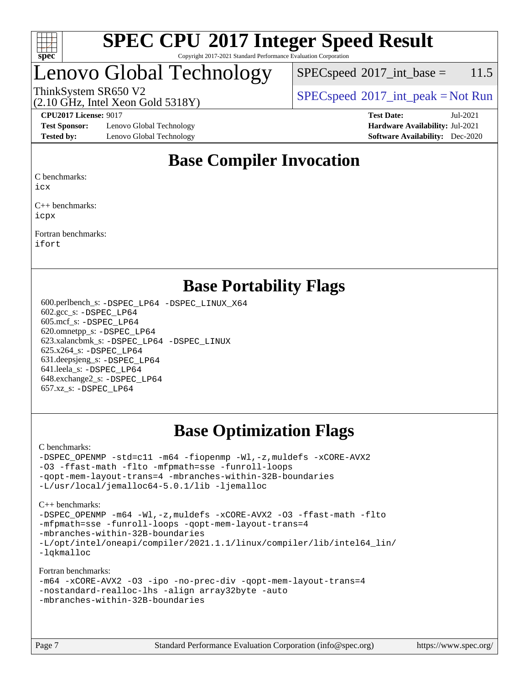

#### **[SPEC CPU](http://www.spec.org/auto/cpu2017/Docs/result-fields.html#SPECCPU2017IntegerSpeedResult)[2017 Integer Speed Result](http://www.spec.org/auto/cpu2017/Docs/result-fields.html#SPECCPU2017IntegerSpeedResult)** Copyright 2017-2021 Standard Performance Evaluation Corporation

### Lenovo Global Technology

 $SPECspeed^{\circ}2017\_int\_base = 11.5$  $SPECspeed^{\circ}2017\_int\_base = 11.5$ 

(2.10 GHz, Intel Xeon Gold 5318Y)

ThinkSystem SR650 V2  $SPEC speed^{\circ}2017\_int\_peak = Not Run$ 

**[Test Sponsor:](http://www.spec.org/auto/cpu2017/Docs/result-fields.html#TestSponsor)** Lenovo Global Technology **[Hardware Availability:](http://www.spec.org/auto/cpu2017/Docs/result-fields.html#HardwareAvailability)** Jul-2021 **[Tested by:](http://www.spec.org/auto/cpu2017/Docs/result-fields.html#Testedby)** Lenovo Global Technology **[Software Availability:](http://www.spec.org/auto/cpu2017/Docs/result-fields.html#SoftwareAvailability)** Dec-2020

**[CPU2017 License:](http://www.spec.org/auto/cpu2017/Docs/result-fields.html#CPU2017License)** 9017 **[Test Date:](http://www.spec.org/auto/cpu2017/Docs/result-fields.html#TestDate)** Jul-2021

### **[Base Compiler Invocation](http://www.spec.org/auto/cpu2017/Docs/result-fields.html#BaseCompilerInvocation)**

[C benchmarks:](http://www.spec.org/auto/cpu2017/Docs/result-fields.html#Cbenchmarks)

[icx](http://www.spec.org/cpu2017/results/res2021q3/cpu2017-20210802-28561.flags.html#user_CCbase_intel_icx_fe2d28d19ae2a5db7c42fe0f2a2aed77cb715edd4aeb23434404a8be6683fe239869bb6ca8154ca98265c2e3b9226a719a0efe2953a4a7018c379b7010ccf087)

[C++ benchmarks](http://www.spec.org/auto/cpu2017/Docs/result-fields.html#CXXbenchmarks): [icpx](http://www.spec.org/cpu2017/results/res2021q3/cpu2017-20210802-28561.flags.html#user_CXXbase_intel_icpx_1e918ed14c436bf4b9b7c8bcdd51d4539fc71b3df010bd1e9f8732d9c34c2b2914e48204a846820f3c0ebb4095dea797a5c30b458ac0b6dffac65d78f781f5ca)

[Fortran benchmarks:](http://www.spec.org/auto/cpu2017/Docs/result-fields.html#Fortranbenchmarks) [ifort](http://www.spec.org/cpu2017/results/res2021q3/cpu2017-20210802-28561.flags.html#user_FCbase_intel_ifort_8111460550e3ca792625aed983ce982f94888b8b503583aa7ba2b8303487b4d8a21a13e7191a45c5fd58ff318f48f9492884d4413fa793fd88dd292cad7027ca)

### **[Base Portability Flags](http://www.spec.org/auto/cpu2017/Docs/result-fields.html#BasePortabilityFlags)**

 600.perlbench\_s: [-DSPEC\\_LP64](http://www.spec.org/cpu2017/results/res2021q3/cpu2017-20210802-28561.flags.html#b600.perlbench_s_basePORTABILITY_DSPEC_LP64) [-DSPEC\\_LINUX\\_X64](http://www.spec.org/cpu2017/results/res2021q3/cpu2017-20210802-28561.flags.html#b600.perlbench_s_baseCPORTABILITY_DSPEC_LINUX_X64) 602.gcc\_s: [-DSPEC\\_LP64](http://www.spec.org/cpu2017/results/res2021q3/cpu2017-20210802-28561.flags.html#suite_basePORTABILITY602_gcc_s_DSPEC_LP64) 605.mcf\_s: [-DSPEC\\_LP64](http://www.spec.org/cpu2017/results/res2021q3/cpu2017-20210802-28561.flags.html#suite_basePORTABILITY605_mcf_s_DSPEC_LP64) 620.omnetpp\_s: [-DSPEC\\_LP64](http://www.spec.org/cpu2017/results/res2021q3/cpu2017-20210802-28561.flags.html#suite_basePORTABILITY620_omnetpp_s_DSPEC_LP64) 623.xalancbmk\_s: [-DSPEC\\_LP64](http://www.spec.org/cpu2017/results/res2021q3/cpu2017-20210802-28561.flags.html#suite_basePORTABILITY623_xalancbmk_s_DSPEC_LP64) [-DSPEC\\_LINUX](http://www.spec.org/cpu2017/results/res2021q3/cpu2017-20210802-28561.flags.html#b623.xalancbmk_s_baseCXXPORTABILITY_DSPEC_LINUX) 625.x264\_s: [-DSPEC\\_LP64](http://www.spec.org/cpu2017/results/res2021q3/cpu2017-20210802-28561.flags.html#suite_basePORTABILITY625_x264_s_DSPEC_LP64) 631.deepsjeng\_s: [-DSPEC\\_LP64](http://www.spec.org/cpu2017/results/res2021q3/cpu2017-20210802-28561.flags.html#suite_basePORTABILITY631_deepsjeng_s_DSPEC_LP64) 641.leela\_s: [-DSPEC\\_LP64](http://www.spec.org/cpu2017/results/res2021q3/cpu2017-20210802-28561.flags.html#suite_basePORTABILITY641_leela_s_DSPEC_LP64) 648.exchange2\_s: [-DSPEC\\_LP64](http://www.spec.org/cpu2017/results/res2021q3/cpu2017-20210802-28561.flags.html#suite_basePORTABILITY648_exchange2_s_DSPEC_LP64) 657.xz\_s: [-DSPEC\\_LP64](http://www.spec.org/cpu2017/results/res2021q3/cpu2017-20210802-28561.flags.html#suite_basePORTABILITY657_xz_s_DSPEC_LP64)

### **[Base Optimization Flags](http://www.spec.org/auto/cpu2017/Docs/result-fields.html#BaseOptimizationFlags)**

[C benchmarks](http://www.spec.org/auto/cpu2017/Docs/result-fields.html#Cbenchmarks):

[-DSPEC\\_OPENMP](http://www.spec.org/cpu2017/results/res2021q3/cpu2017-20210802-28561.flags.html#suite_CCbase_DSPEC_OPENMP) [-std=c11](http://www.spec.org/cpu2017/results/res2021q3/cpu2017-20210802-28561.flags.html#user_CCbase_std-icc-std_0e1c27790398a4642dfca32ffe6c27b5796f9c2d2676156f2e42c9c44eaad0c049b1cdb667a270c34d979996257aeb8fc440bfb01818dbc9357bd9d174cb8524) [-m64](http://www.spec.org/cpu2017/results/res2021q3/cpu2017-20210802-28561.flags.html#user_CCbase_m64-icc) [-fiopenmp](http://www.spec.org/cpu2017/results/res2021q3/cpu2017-20210802-28561.flags.html#user_CCbase_fiopenmp_4cde26b3fcccd23bd0bb70af4efc204325d72839eefa1147e34201101709f20b3deb62aad96701dea148529bf4ca48c90b72f3bf837ca148e297cf8a0ba6feb7) [-Wl,-z,muldefs](http://www.spec.org/cpu2017/results/res2021q3/cpu2017-20210802-28561.flags.html#user_CCbase_link_force_multiple1_b4cbdb97b34bdee9ceefcfe54f4c8ea74255f0b02a4b23e853cdb0e18eb4525ac79b5a88067c842dd0ee6996c24547a27a4b99331201badda8798ef8a743f577) [-xCORE-AVX2](http://www.spec.org/cpu2017/results/res2021q3/cpu2017-20210802-28561.flags.html#user_CCbase_f-xCORE-AVX2) [-O3](http://www.spec.org/cpu2017/results/res2021q3/cpu2017-20210802-28561.flags.html#user_CCbase_f-O3) [-ffast-math](http://www.spec.org/cpu2017/results/res2021q3/cpu2017-20210802-28561.flags.html#user_CCbase_f-ffast-math) [-flto](http://www.spec.org/cpu2017/results/res2021q3/cpu2017-20210802-28561.flags.html#user_CCbase_f-flto) [-mfpmath=sse](http://www.spec.org/cpu2017/results/res2021q3/cpu2017-20210802-28561.flags.html#user_CCbase_f-mfpmath_70eb8fac26bde974f8ab713bc9086c5621c0b8d2f6c86f38af0bd7062540daf19db5f3a066d8c6684be05d84c9b6322eb3b5be6619d967835195b93d6c02afa1) [-funroll-loops](http://www.spec.org/cpu2017/results/res2021q3/cpu2017-20210802-28561.flags.html#user_CCbase_f-funroll-loops) [-qopt-mem-layout-trans=4](http://www.spec.org/cpu2017/results/res2021q3/cpu2017-20210802-28561.flags.html#user_CCbase_f-qopt-mem-layout-trans_fa39e755916c150a61361b7846f310bcdf6f04e385ef281cadf3647acec3f0ae266d1a1d22d972a7087a248fd4e6ca390a3634700869573d231a252c784941a8) [-mbranches-within-32B-boundaries](http://www.spec.org/cpu2017/results/res2021q3/cpu2017-20210802-28561.flags.html#user_CCbase_f-mbranches-within-32B-boundaries) [-L/usr/local/jemalloc64-5.0.1/lib](http://www.spec.org/cpu2017/results/res2021q3/cpu2017-20210802-28561.flags.html#user_CCbase_jemalloc_link_path64_1_cc289568b1a6c0fd3b62c91b824c27fcb5af5e8098e6ad028160d21144ef1b8aef3170d2acf0bee98a8da324cfe4f67d0a3d0c4cc4673d993d694dc2a0df248b) [-ljemalloc](http://www.spec.org/cpu2017/results/res2021q3/cpu2017-20210802-28561.flags.html#user_CCbase_jemalloc_link_lib_d1249b907c500fa1c0672f44f562e3d0f79738ae9e3c4a9c376d49f265a04b9c99b167ecedbf6711b3085be911c67ff61f150a17b3472be731631ba4d0471706)

[C++ benchmarks:](http://www.spec.org/auto/cpu2017/Docs/result-fields.html#CXXbenchmarks)

[-DSPEC\\_OPENMP](http://www.spec.org/cpu2017/results/res2021q3/cpu2017-20210802-28561.flags.html#suite_CXXbase_DSPEC_OPENMP) [-m64](http://www.spec.org/cpu2017/results/res2021q3/cpu2017-20210802-28561.flags.html#user_CXXbase_m64-icc) [-Wl,-z,muldefs](http://www.spec.org/cpu2017/results/res2021q3/cpu2017-20210802-28561.flags.html#user_CXXbase_link_force_multiple1_b4cbdb97b34bdee9ceefcfe54f4c8ea74255f0b02a4b23e853cdb0e18eb4525ac79b5a88067c842dd0ee6996c24547a27a4b99331201badda8798ef8a743f577) [-xCORE-AVX2](http://www.spec.org/cpu2017/results/res2021q3/cpu2017-20210802-28561.flags.html#user_CXXbase_f-xCORE-AVX2) [-O3](http://www.spec.org/cpu2017/results/res2021q3/cpu2017-20210802-28561.flags.html#user_CXXbase_f-O3) [-ffast-math](http://www.spec.org/cpu2017/results/res2021q3/cpu2017-20210802-28561.flags.html#user_CXXbase_f-ffast-math) [-flto](http://www.spec.org/cpu2017/results/res2021q3/cpu2017-20210802-28561.flags.html#user_CXXbase_f-flto) [-mfpmath=sse](http://www.spec.org/cpu2017/results/res2021q3/cpu2017-20210802-28561.flags.html#user_CXXbase_f-mfpmath_70eb8fac26bde974f8ab713bc9086c5621c0b8d2f6c86f38af0bd7062540daf19db5f3a066d8c6684be05d84c9b6322eb3b5be6619d967835195b93d6c02afa1) [-funroll-loops](http://www.spec.org/cpu2017/results/res2021q3/cpu2017-20210802-28561.flags.html#user_CXXbase_f-funroll-loops) [-qopt-mem-layout-trans=4](http://www.spec.org/cpu2017/results/res2021q3/cpu2017-20210802-28561.flags.html#user_CXXbase_f-qopt-mem-layout-trans_fa39e755916c150a61361b7846f310bcdf6f04e385ef281cadf3647acec3f0ae266d1a1d22d972a7087a248fd4e6ca390a3634700869573d231a252c784941a8) [-mbranches-within-32B-boundaries](http://www.spec.org/cpu2017/results/res2021q3/cpu2017-20210802-28561.flags.html#user_CXXbase_f-mbranches-within-32B-boundaries) [-L/opt/intel/oneapi/compiler/2021.1.1/linux/compiler/lib/intel64\\_lin/](http://www.spec.org/cpu2017/results/res2021q3/cpu2017-20210802-28561.flags.html#user_CXXbase_linkpath_765a8c93c4ea33dfc565a33ecb48f4f7d02a6338709b3b362f341eb203a06426ce1d12ded4c7809f6ab6cf0e9f5515cffeb4efc405b63f85dc27a83bbbdeb3a3) [-lqkmalloc](http://www.spec.org/cpu2017/results/res2021q3/cpu2017-20210802-28561.flags.html#user_CXXbase_qkmalloc_link_lib_79a818439969f771c6bc311cfd333c00fc099dad35c030f5aab9dda831713d2015205805422f83de8875488a2991c0a156aaa600e1f9138f8fc37004abc96dc5)

#### [Fortran benchmarks](http://www.spec.org/auto/cpu2017/Docs/result-fields.html#Fortranbenchmarks):

```
-m64 -xCORE-AVX2 -O3 -ipo -no-prec-div -qopt-mem-layout-trans=4
-nostandard-realloc-lhs -align array32byte -auto
-mbranches-within-32B-boundaries
```